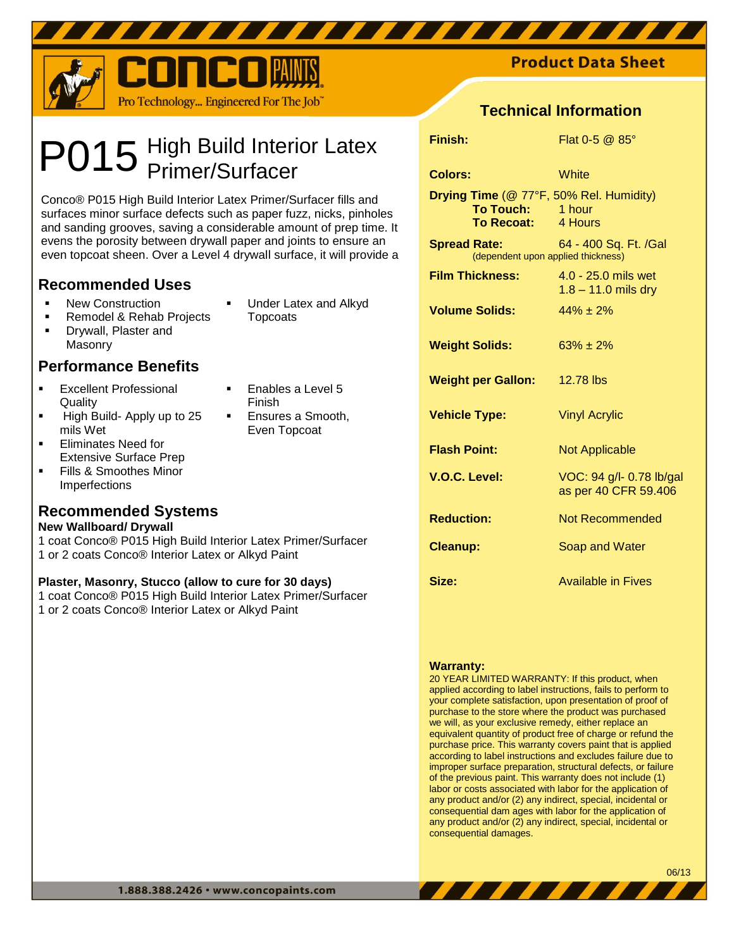

# High Build Interior Latex Primer/Surfacer P015

Conco® P015 High Build Interior Latex Primer/Surfacer fills and surfaces minor surface defects such as paper fuzz, nicks, pinholes and sanding grooves, saving a considerable amount of prep time. It evens the porosity between drywall paper and joints to ensure an even topcoat sheen. Over a Level 4 drywall surface, it will provide a

# **Recommended Uses**

- **New Construction**
- Remodel & Rehab Projects
- **•** Drywall, Plaster and Masonry

# **Performance Benefits**

- **Excellent Professional Quality**
- High Build- Apply up to 25 mils Wet
- Eliminates Need for Extensive Surface Prep
- Fills & Smoothes Minor Imperfections

# **Recommended Systems**

## **New Wallboard/ Drywall**

1 coat Conco® P015 High Build Interior Latex Primer/Surfacer 1 or 2 coats Conco® Interior Latex or Alkyd Paint

## **Plaster, Masonry, Stucco (allow to cure for 30 days)**

1 coat Conco® P015 High Build Interior Latex Primer/Surfacer 1 or 2 coats Conco® Interior Latex or Alkyd Paint

- Under Latex and Alkyd
- **Topcoats**

Enables a Level 5

 Ensures a Smooth, Even Topcoat

Finish

**Product Data Sheet** 

# **Technical Information**

| Finish:                                                                           | Flat $0-5$ @ $85^\circ$                          |
|-----------------------------------------------------------------------------------|--------------------------------------------------|
| <b>Colors:</b>                                                                    | White                                            |
| Drying Time (@ 77°F, 50% Rel. Humidity)<br>To Touch: 1 hour<br>To Recoat: 4 Hours |                                                  |
| <b>Spread Rate: Spread Rate:</b><br>(dependent upon applied thickness)            | 64 - 400 Sq. Ft. /Gal                            |
| <b>Film Thickness:</b>                                                            | 4.0 - 25.0 mils wet<br>$1.8 - 11.0$ mils dry     |
| <b>Volume Solids:</b>                                                             | $44% + 2%$                                       |
| <b>Weight Solids:</b>                                                             | $63% + 2%$                                       |
| <b>Weight per Gallon:</b>                                                         | 12.78 lbs                                        |
| <b>Vehicle Type:</b>                                                              | <b>Vinyl Acrylic</b>                             |
| <b>Flash Point:</b>                                                               | <b>Not Applicable</b>                            |
| V.O.C. Level:                                                                     | VOC: 94 g/l- 0.78 lb/gal<br>as per 40 CFR 59.406 |
| <b>Reduction:</b>                                                                 | Not Recommended                                  |
| <b>Cleanup:</b>                                                                   | Soap and Water                                   |
| Size:                                                                             | <b>Available in Fives</b>                        |

## **Warranty:**

20 YEAR LIMITED WARRANTY: If this product, when applied according to label instructions, fails to perform to your complete satisfaction, upon presentation of proof of purchase to the store where the product was purchased we will, as your exclusive remedy, either replace an equivalent quantity of product free of charge or refund the purchase price. This warranty covers paint that is applied according to label instructions and excludes failure due to improper surface preparation, structural defects, or failure of the previous paint. This warranty does not include (1) labor or costs associated with labor for the application of any product and/or (2) any indirect, special, incidental or consequential dam ages with labor for the application of any product and/or (2) any indirect, special, incidental or consequential damages.

,,,,,,